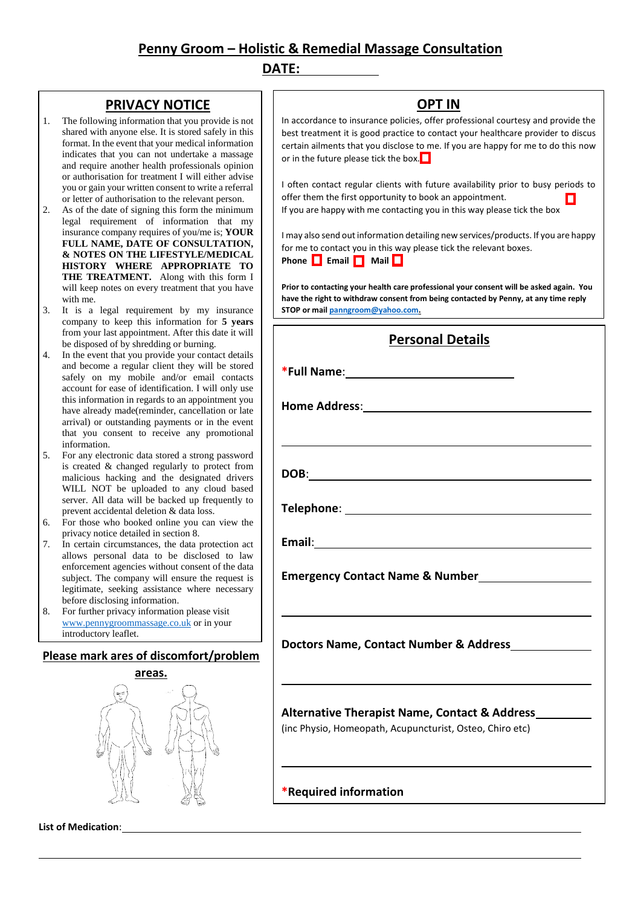# **Penny Groom – Holistic & Remedial Massage Consultation**

### **DATE:**

## **PRIVACY NOTICE**

- 1. The following information that you provide is not shared with anyone else. It is stored safely in this format. In the event that your medical information indicates that you can not undertake a massage and require another health professionals opinion or authorisation for treatment I will either advise you or gain your written consent to write a referral or letter of authorisation to the relevant person.
- 2. As of the date of signing this form the minimum legal requirement of information that my insurance company requires of you/me is; **YOUR FULL NAME, DATE OF CONSULTATION, & NOTES ON THE LIFESTYLE/MEDICAL HISTORY WHERE APPROPRIATE TO THE TREATMENT.** Along with this form I will keep notes on every treatment that you have with me.
- 3. It is a legal requirement by my insurance company to keep this information for **5 years** from your last appointment. After this date it will be disposed of by shredding or burning.
- 4. In the event that you provide your contact details and become a regular client they will be stored safely on my mobile and/or email contacts account for ease of identification. I will only use this information in regards to an appointment you have already made(reminder, cancellation or late arrival) or outstanding payments or in the event that you consent to receive any promotional information.
- 5. For any electronic data stored a strong password is created & changed regularly to protect from malicious hacking and the designated drivers WILL NOT be uploaded to any cloud based server. All data will be backed up frequently to prevent accidental deletion & data loss.
- 6. For those who booked online you can view the privacy notice detailed in section 8.
- 7. In certain circumstances, the data protection act allows personal data to be disclosed to law enforcement agencies without consent of the data subject. The company will ensure the request is legitimate, seeking assistance where necessary before disclosing information.
- 8. For further privacy information please visit [www.pennygroommassage.co.uk](http://www.pennygroommassage.co.uk/) or in your introductory leaflet.

#### **Please mark ares of discomfort/problem** 9. A copy of your retained data may be requested



**List of Medication**:

In accordance to insurance policies, offer professional courtesy and provide the best treatment it is good practice to contact your healthcare provider to discus certain ailments that you disclose to me. If you are happy for me to do this now or in the future please tick the box.  $\Box$ 

**OPT IN**

I often contact regular clients with future availability prior to busy periods to offer them the first opportunity to book an appointment. If you are happy with me contacting you in this way please tick the box

I may also send out information detailing new services/products. If you are happy for me to contact you in this way please tick the relevant boxes. Phone **Example 1** Mail **Example 2** 

**Prior to contacting your health care professional your consent will be asked again. You have the right to withdraw consent from being contacted by Penny, at any time reply STOP or mai[l panngroom@yahoo.com.](mailto:panngroom@yahoo.com)** 

| <b>Personal Details</b>                                                                                          |
|------------------------------------------------------------------------------------------------------------------|
|                                                                                                                  |
|                                                                                                                  |
|                                                                                                                  |
|                                                                                                                  |
|                                                                                                                  |
|                                                                                                                  |
| Emergency Contact Name & Number                                                                                  |
| and the control of the control of the control of the control of the control of the control of the control of the |
| Doctors Name, Contact Number & Address                                                                           |
| and the control of the control of the control of the control of the control of the control of the control of the |
| Alternative Therapist Name, Contact & Address<br>(inc Physio, Homeopath, Acupuncturist, Osteo, Chiro etc)        |

**\*Required information**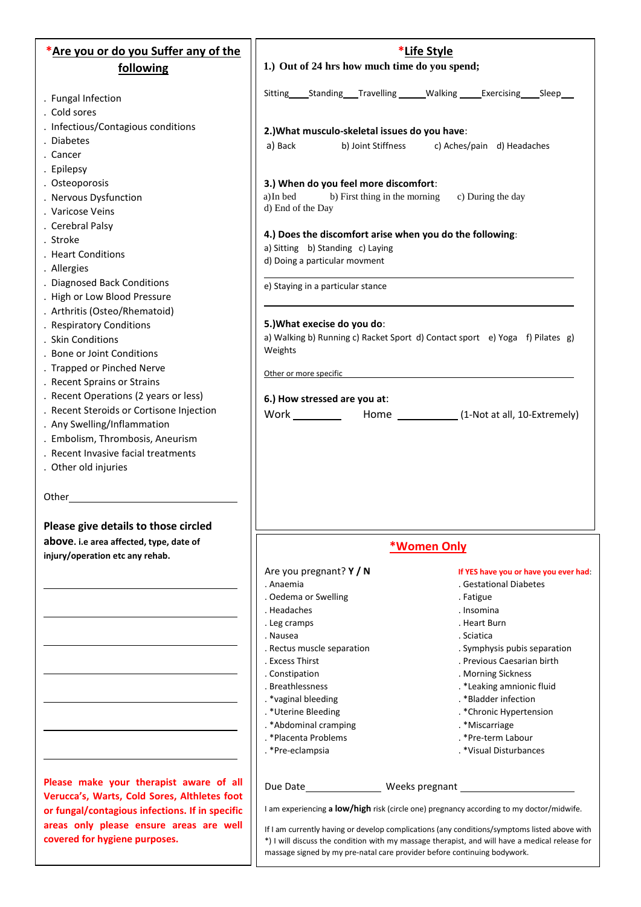| *Are you or do you Suffer any of the                        | *Life Style                                                                                                                                                                                    |                                                                 |
|-------------------------------------------------------------|------------------------------------------------------------------------------------------------------------------------------------------------------------------------------------------------|-----------------------------------------------------------------|
| following                                                   | 1.) Out of 24 hrs how much time do you spend;                                                                                                                                                  |                                                                 |
|                                                             |                                                                                                                                                                                                |                                                                 |
| . Fungal Infection                                          | Sitting Standing Travelling Walking Exercising Sleep                                                                                                                                           |                                                                 |
| . Cold sores                                                |                                                                                                                                                                                                |                                                                 |
| . Infectious/Contagious conditions                          | 2.) What musculo-skeletal issues do you have:                                                                                                                                                  |                                                                 |
| <b>Diabetes</b>                                             | a) Back<br>b) Joint Stiffness                                                                                                                                                                  | c) Aches/pain d) Headaches                                      |
| . Cancer                                                    |                                                                                                                                                                                                |                                                                 |
| . Epilepsy                                                  |                                                                                                                                                                                                |                                                                 |
| . Osteoporosis                                              | 3.) When do you feel more discomfort:                                                                                                                                                          |                                                                 |
| . Nervous Dysfunction                                       | a) In bed<br>b) First thing in the morning                                                                                                                                                     | c) During the day                                               |
| . Varicose Veins                                            | d) End of the Day                                                                                                                                                                              |                                                                 |
| . Cerebral Palsy                                            | 4.) Does the discomfort arise when you do the following:                                                                                                                                       |                                                                 |
| . Stroke                                                    | a) Sitting b) Standing c) Laying                                                                                                                                                               |                                                                 |
| . Heart Conditions                                          | d) Doing a particular movment                                                                                                                                                                  |                                                                 |
| . Allergies                                                 |                                                                                                                                                                                                |                                                                 |
| . Diagnosed Back Conditions<br>. High or Low Blood Pressure | e) Staying in a particular stance                                                                                                                                                              |                                                                 |
| . Arthritis (Osteo/Rhematoid)                               |                                                                                                                                                                                                |                                                                 |
| . Respiratory Conditions                                    | 5.) What execise do you do:                                                                                                                                                                    |                                                                 |
| . Skin Conditions                                           | a) Walking b) Running c) Racket Sport d) Contact sport e) Yoga f) Pilates g)                                                                                                                   |                                                                 |
| . Bone or Joint Conditions                                  | Weights                                                                                                                                                                                        |                                                                 |
| . Trapped or Pinched Nerve                                  |                                                                                                                                                                                                |                                                                 |
| . Recent Sprains or Strains                                 | Other or more specific                                                                                                                                                                         |                                                                 |
| . Recent Operations (2 years or less)                       | 6.) How stressed are you at:                                                                                                                                                                   |                                                                 |
| . Recent Steroids or Cortisone Injection                    |                                                                                                                                                                                                | Home _______________ (1-Not at all, 10-Extremely)               |
| . Any Swelling/Inflammation                                 |                                                                                                                                                                                                |                                                                 |
| . Embolism, Thrombosis, Aneurism                            |                                                                                                                                                                                                |                                                                 |
| . Recent Invasive facial treatments                         |                                                                                                                                                                                                |                                                                 |
| . Other old injuries                                        |                                                                                                                                                                                                |                                                                 |
|                                                             |                                                                                                                                                                                                |                                                                 |
| Other                                                       |                                                                                                                                                                                                |                                                                 |
|                                                             |                                                                                                                                                                                                |                                                                 |
| Please give details to those circled                        |                                                                                                                                                                                                |                                                                 |
| above. i.e area affected, type, date of                     | <b>*Women Only</b>                                                                                                                                                                             |                                                                 |
| injury/operation etc any rehab.                             |                                                                                                                                                                                                |                                                                 |
|                                                             | Are you pregnant? Y / N<br>. Anaemia                                                                                                                                                           | If YES have you or have you ever had:<br>. Gestational Diabetes |
|                                                             | . Oedema or Swelling                                                                                                                                                                           | . Fatigue                                                       |
|                                                             | . Headaches                                                                                                                                                                                    | . Insomina                                                      |
|                                                             | . Leg cramps                                                                                                                                                                                   | . Heart Burn                                                    |
|                                                             | . Nausea                                                                                                                                                                                       | . Sciatica                                                      |
|                                                             | . Rectus muscle separation                                                                                                                                                                     | . Symphysis pubis separation                                    |
|                                                             | . Excess Thirst                                                                                                                                                                                | . Previous Caesarian birth                                      |
|                                                             | . Constipation<br>. Breathlessness                                                                                                                                                             | . Morning Sickness<br>. *Leaking amnionic fluid                 |
|                                                             | . *vaginal bleeding                                                                                                                                                                            | . *Bladder infection                                            |
|                                                             | . * Uterine Bleeding                                                                                                                                                                           | . *Chronic Hypertension                                         |
|                                                             | . * Abdominal cramping                                                                                                                                                                         | . *Miscarriage                                                  |
|                                                             | . * Placenta Problems                                                                                                                                                                          | . *Pre-term Labour                                              |
|                                                             | . *Pre-eclampsia                                                                                                                                                                               | . *Visual Disturbances                                          |
| Please make your therapist aware of all                     |                                                                                                                                                                                                |                                                                 |
| Verucca's, Warts, Cold Sores, Althletes foot                |                                                                                                                                                                                                |                                                                 |
| or fungal/contagious infections. If in specific             | I am experiencing a low/high risk (circle one) pregnancy according to my doctor/midwife.                                                                                                       |                                                                 |
| areas only please ensure areas are well                     |                                                                                                                                                                                                |                                                                 |
| covered for hygiene purposes.                               | If I am currently having or develop complications (any conditions/symptoms listed above with<br>*) I will discuss the condition with my massage therapist, and will have a medical release for |                                                                 |
|                                                             | massage signed by my pre-natal care provider before continuing bodywork.                                                                                                                       |                                                                 |
|                                                             |                                                                                                                                                                                                |                                                                 |